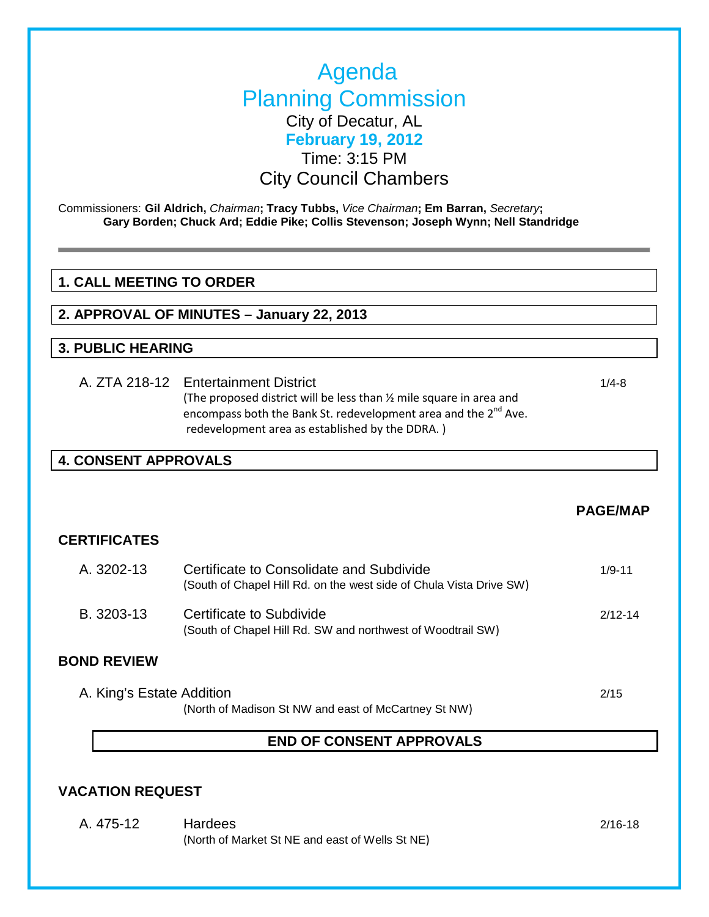# Agenda Planning Commission City of Decatur, AL **February 19, 2012** Time: 3:15 PM City Council Chambers

Commissioners: **Gil Aldrich,** *Chairman***; Tracy Tubbs,** *Vice Chairman***; Em Barran,** *Secretary***; Gary Borden; Chuck Ard; Eddie Pike; Collis Stevenson; Joseph Wynn; Nell Standridge**

### **1. CALL MEETING TO ORDER**

**2. APPROVAL OF MINUTES – January 22, 2013**

#### **3. PUBLIC HEARING**

A. ZTA 218-12 Entertainment District 1/4-8 (The proposed district will be less than ½ mile square in area and encompass both the Bank St. redevelopment area and the  $2^{nd}$  Ave. redevelopment area as established by the DDRA. )

### **4. CONSENT APPROVALS**

### **PAGE/MAP**

#### **CERTIFICATES**

A. 3202-13 Certificate to Consolidate and Subdivide 1944 1944 (South of Chapel Hill Rd. on the west side of Chula Vista Drive SW) B. 3203-13 Certificate to Subdivide 2012-14 (South of Chapel Hill Rd. SW and northwest of Woodtrail SW)

#### **BOND REVIEW**

| A. King's Estate Addition                            | 2/15 |
|------------------------------------------------------|------|
| (North of Madison St NW and east of McCartney St NW) |      |

#### **END OF CONSENT APPROVALS**

### **VACATION REQUEST**

A. 475-12 Hardees 2/16-18 (North of Market St NE and east of Wells St NE)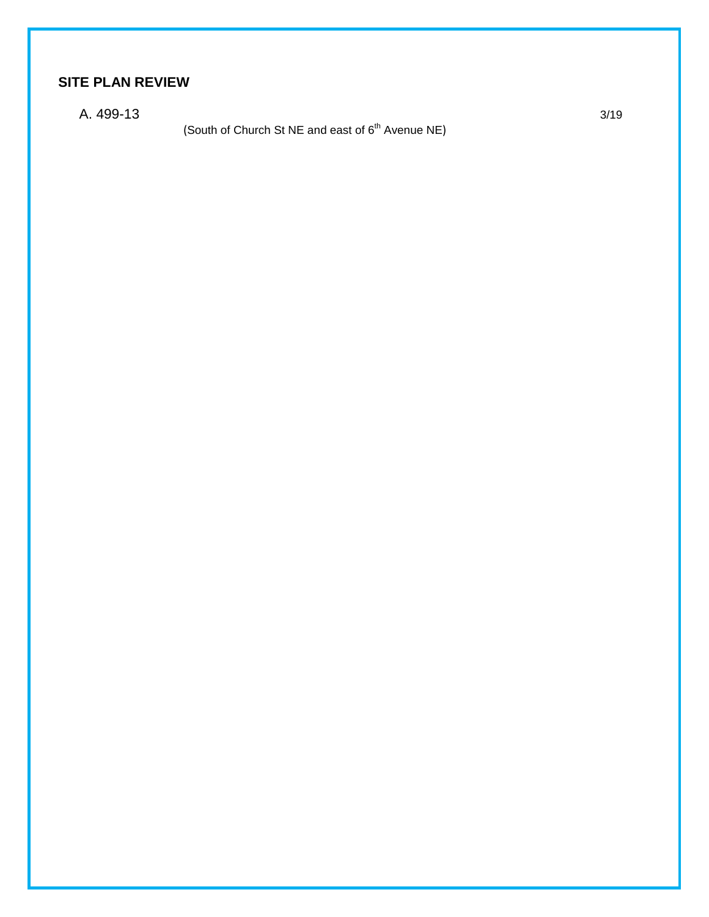## **SITE PLAN REVIEW**

A. 499-13 3/19

(South of Church St NE and east of  $6<sup>th</sup>$  Avenue NE)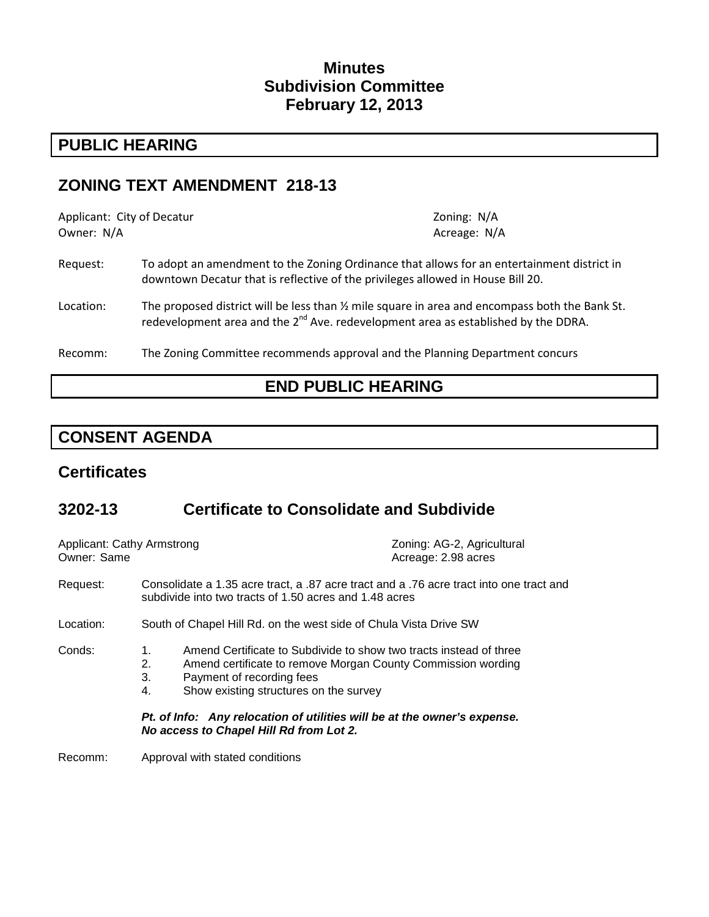## **Minutes Subdivision Committee February 12, 2013**

# **PUBLIC HEARING**

## **ZONING TEXT AMENDMENT 218-13**

| Applicant: City of Decatur<br>Owner: N/A |                                                                                                                                                                                                      | Zoning: N/A<br>Acreage: N/A |
|------------------------------------------|------------------------------------------------------------------------------------------------------------------------------------------------------------------------------------------------------|-----------------------------|
| Request:                                 | To adopt an amendment to the Zoning Ordinance that allows for an entertainment district in<br>downtown Decatur that is reflective of the privileges allowed in House Bill 20.                        |                             |
| Location:                                | The proposed district will be less than $\frac{1}{2}$ mile square in area and encompass both the Bank St.<br>redevelopment area and the $2^{nd}$ Ave. redevelopment area as established by the DDRA. |                             |
| Recomm:                                  | The Zoning Committee recommends approval and the Planning Department concurs                                                                                                                         |                             |

# **END PUBLIC HEARING**

# **CONSENT AGENDA**

## **Certificates**

# **3202-13 Certificate to Consolidate and Subdivide**

| <b>Applicant: Cathy Armstrong</b><br>Owner: Same |                                                                                                                                                   | Zoning: AG-2, Agricultural<br>Acreage: 2.98 acres                                                                                  |  |
|--------------------------------------------------|---------------------------------------------------------------------------------------------------------------------------------------------------|------------------------------------------------------------------------------------------------------------------------------------|--|
| Request:                                         | Consolidate a 1.35 acre tract, a .87 acre tract and a .76 acre tract into one tract and<br>subdivide into two tracts of 1.50 acres and 1.48 acres |                                                                                                                                    |  |
| Location:                                        | South of Chapel Hill Rd. on the west side of Chula Vista Drive SW                                                                                 |                                                                                                                                    |  |
| Conds:                                           | 1.<br>2.<br>3.<br>Payment of recording fees<br>4.<br>Show existing structures on the survey                                                       | Amend Certificate to Subdivide to show two tracts instead of three<br>Amend certificate to remove Morgan County Commission wording |  |
|                                                  | Pt. of Info: Any relocation of utilities will be at the owner's expense.<br>No access to Chapel Hill Rd from Lot 2.                               |                                                                                                                                    |  |
| Recomm:                                          | Approval with stated conditions                                                                                                                   |                                                                                                                                    |  |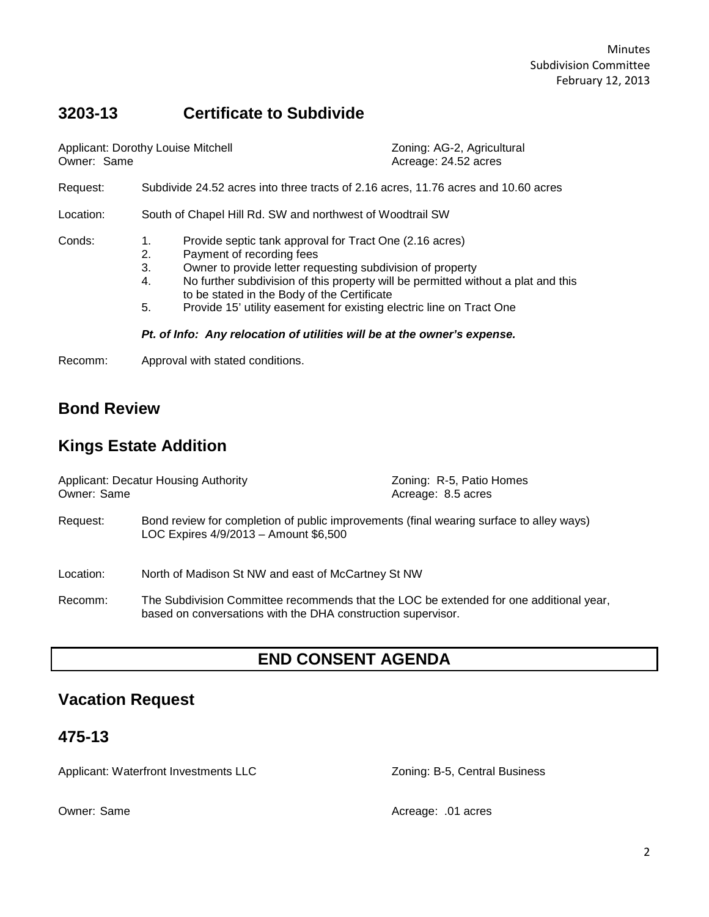# **3203-13 Certificate to Subdivide**

| Applicant: Dorothy Louise Mitchell<br>Owner: Same |                                                                                                                                                                                                                                                                                                                                                                                                                                                                          |  | Zoning: AG-2, Agricultural<br>Acreage: 24.52 acres |
|---------------------------------------------------|--------------------------------------------------------------------------------------------------------------------------------------------------------------------------------------------------------------------------------------------------------------------------------------------------------------------------------------------------------------------------------------------------------------------------------------------------------------------------|--|----------------------------------------------------|
| Request:                                          | Subdivide 24.52 acres into three tracts of 2.16 acres, 11.76 acres and 10.60 acres                                                                                                                                                                                                                                                                                                                                                                                       |  |                                                    |
| Location:                                         | South of Chapel Hill Rd. SW and northwest of Woodtrail SW                                                                                                                                                                                                                                                                                                                                                                                                                |  |                                                    |
| Conds:                                            | Provide septic tank approval for Tract One (2.16 acres)<br>1.<br>Payment of recording fees<br>2.<br>3.<br>Owner to provide letter requesting subdivision of property<br>No further subdivision of this property will be permitted without a plat and this<br>4.<br>to be stated in the Body of the Certificate<br>Provide 15' utility easement for existing electric line on Tract One<br>5.<br>Pt. of Info: Any relocation of utilities will be at the owner's expense. |  |                                                    |

Recomm: Approval with stated conditions.

# **Bond Review**

# **Kings Estate Addition**

| <b>Applicant: Decatur Housing Authority</b><br>Owner: Same |                                                                                                                                                        | Zoning: R-5, Patio Homes<br>Acreage: 8.5 acres                                          |  |
|------------------------------------------------------------|--------------------------------------------------------------------------------------------------------------------------------------------------------|-----------------------------------------------------------------------------------------|--|
| Request:                                                   | LOC Expires 4/9/2013 - Amount \$6,500                                                                                                                  | Bond review for completion of public improvements (final wearing surface to alley ways) |  |
| Location:                                                  | North of Madison St NW and east of McCartney St NW                                                                                                     |                                                                                         |  |
| Recomm:                                                    | The Subdivision Committee recommends that the LOC be extended for one additional year,<br>based on conversations with the DHA construction supervisor. |                                                                                         |  |

# **END CONSENT AGENDA**

# **Vacation Request**

## **475-13**

Applicant: Waterfront Investments LLC <br>
Zoning: B-5, Central Business

Owner: Same **Acreage: .01 acres** Acreage: .01 acres